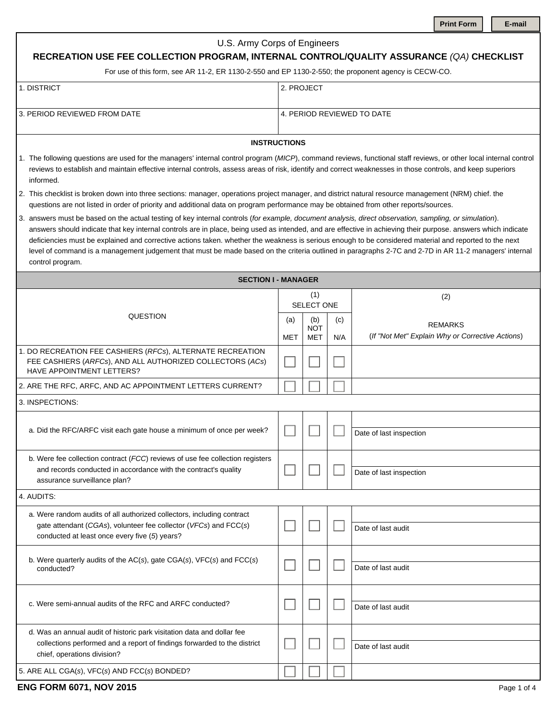| <b>Print Form</b> |
|-------------------|
|-------------------|

|  | ∙maıl |
|--|-------|
|  |       |

| U.S. Army Corps of Engineers<br>RECREATION USE FEE COLLECTION PROGRAM, INTERNAL CONTROL/QUALITY ASSURANCE (QA) CHECKLIST<br>For use of this form, see AR 11-2, ER 1130-2-550 and EP 1130-2-550; the proponent agency is CECW-CO.                                                                                                                                                                                                                                                                                                                                                                                                                               |                                                                                                                                                                                                                                                                                              |                                 |            |                                                                    |  |  |  |
|----------------------------------------------------------------------------------------------------------------------------------------------------------------------------------------------------------------------------------------------------------------------------------------------------------------------------------------------------------------------------------------------------------------------------------------------------------------------------------------------------------------------------------------------------------------------------------------------------------------------------------------------------------------|----------------------------------------------------------------------------------------------------------------------------------------------------------------------------------------------------------------------------------------------------------------------------------------------|---------------------------------|------------|--------------------------------------------------------------------|--|--|--|
| 1. DISTRICT                                                                                                                                                                                                                                                                                                                                                                                                                                                                                                                                                                                                                                                    |                                                                                                                                                                                                                                                                                              |                                 | 2. PROJECT |                                                                    |  |  |  |
| 3. PERIOD REVIEWED FROM DATE                                                                                                                                                                                                                                                                                                                                                                                                                                                                                                                                                                                                                                   |                                                                                                                                                                                                                                                                                              |                                 |            | 4. PERIOD REVIEWED TO DATE                                         |  |  |  |
| <b>INSTRUCTIONS</b>                                                                                                                                                                                                                                                                                                                                                                                                                                                                                                                                                                                                                                            |                                                                                                                                                                                                                                                                                              |                                 |            |                                                                    |  |  |  |
| 1. The following questions are used for the managers' internal control program (MICP), command reviews, functional staff reviews, or other local internal control<br>reviews to establish and maintain effective internal controls, assess areas of risk, identify and correct weaknesses in those controls, and keep superiors<br>informed.                                                                                                                                                                                                                                                                                                                   |                                                                                                                                                                                                                                                                                              |                                 |            |                                                                    |  |  |  |
|                                                                                                                                                                                                                                                                                                                                                                                                                                                                                                                                                                                                                                                                | 2. This checklist is broken down into three sections: manager, operations project manager, and district natural resource management (NRM) chief. the<br>questions are not listed in order of priority and additional data on program performance may be obtained from other reports/sources. |                                 |            |                                                                    |  |  |  |
| 3. answers must be based on the actual testing of key internal controls (for example, document analysis, direct observation, sampling, or simulation).<br>answers should indicate that key internal controls are in place, being used as intended, and are effective in achieving their purpose. answers which indicate<br>deficiencies must be explained and corrective actions taken. whether the weakness is serious enough to be considered material and reported to the next<br>level of command is a management judgement that must be made based on the criteria outlined in paragraphs 2-7C and 2-7D in AR 11-2 managers' internal<br>control program. |                                                                                                                                                                                                                                                                                              |                                 |            |                                                                    |  |  |  |
| <b>SECTION I - MANAGER</b>                                                                                                                                                                                                                                                                                                                                                                                                                                                                                                                                                                                                                                     |                                                                                                                                                                                                                                                                                              |                                 |            |                                                                    |  |  |  |
|                                                                                                                                                                                                                                                                                                                                                                                                                                                                                                                                                                                                                                                                |                                                                                                                                                                                                                                                                                              | (1)<br>SELECT ONE               |            | (2)                                                                |  |  |  |
| QUESTION                                                                                                                                                                                                                                                                                                                                                                                                                                                                                                                                                                                                                                                       | (a)<br>MET                                                                                                                                                                                                                                                                                   | (b)<br><b>NOT</b><br><b>MET</b> | (c)<br>N/A | <b>REMARKS</b><br>(If "Not Met" Explain Why or Corrective Actions) |  |  |  |
| 1. DO RECREATION FEE CASHIERS (RFCs), ALTERNATE RECREATION<br>FEE CASHIERS (ARFCs), AND ALL AUTHORIZED COLLECTORS (ACs)<br><b>HAVE APPOINTMENT LETTERS?</b>                                                                                                                                                                                                                                                                                                                                                                                                                                                                                                    |                                                                                                                                                                                                                                                                                              |                                 |            |                                                                    |  |  |  |
| 2. ARE THE RFC, ARFC, AND AC APPOINTMENT LETTERS CURRENT?                                                                                                                                                                                                                                                                                                                                                                                                                                                                                                                                                                                                      |                                                                                                                                                                                                                                                                                              |                                 |            |                                                                    |  |  |  |
| 3. INSPECTIONS:                                                                                                                                                                                                                                                                                                                                                                                                                                                                                                                                                                                                                                                |                                                                                                                                                                                                                                                                                              |                                 |            |                                                                    |  |  |  |
| a. Did the RFC/ARFC visit each gate house a minimum of once per week?                                                                                                                                                                                                                                                                                                                                                                                                                                                                                                                                                                                          |                                                                                                                                                                                                                                                                                              |                                 |            | Date of last inspection                                            |  |  |  |
| b. Were fee collection contract (FCC) reviews of use fee collection registers<br>and records conducted in accordance with the contract's quality<br>assurance surveillance plan?                                                                                                                                                                                                                                                                                                                                                                                                                                                                               |                                                                                                                                                                                                                                                                                              |                                 |            | Date of last inspection                                            |  |  |  |
| 4. AUDITS:                                                                                                                                                                                                                                                                                                                                                                                                                                                                                                                                                                                                                                                     |                                                                                                                                                                                                                                                                                              |                                 |            |                                                                    |  |  |  |
| a. Were random audits of all authorized collectors, including contract<br>gate attendant (CGAs), volunteer fee collector (VFCs) and FCC(s)<br>conducted at least once every five (5) years?                                                                                                                                                                                                                                                                                                                                                                                                                                                                    |                                                                                                                                                                                                                                                                                              |                                 |            | Date of last audit                                                 |  |  |  |
| b. Were quarterly audits of the $AC(s)$ , gate $CGA(s)$ , $VFC(s)$ and $FCC(s)$<br>conducted?                                                                                                                                                                                                                                                                                                                                                                                                                                                                                                                                                                  |                                                                                                                                                                                                                                                                                              |                                 |            | Date of last audit                                                 |  |  |  |
| c. Were semi-annual audits of the RFC and ARFC conducted?                                                                                                                                                                                                                                                                                                                                                                                                                                                                                                                                                                                                      |                                                                                                                                                                                                                                                                                              |                                 |            | Date of last audit                                                 |  |  |  |
| d. Was an annual audit of historic park visitation data and dollar fee<br>collections performed and a report of findings forwarded to the district<br>chief, operations division?                                                                                                                                                                                                                                                                                                                                                                                                                                                                              |                                                                                                                                                                                                                                                                                              |                                 |            | Date of last audit                                                 |  |  |  |
| 5. ARE ALL CGA(s), VFC(s) AND FCC(s) BONDED?                                                                                                                                                                                                                                                                                                                                                                                                                                                                                                                                                                                                                   |                                                                                                                                                                                                                                                                                              |                                 |            |                                                                    |  |  |  |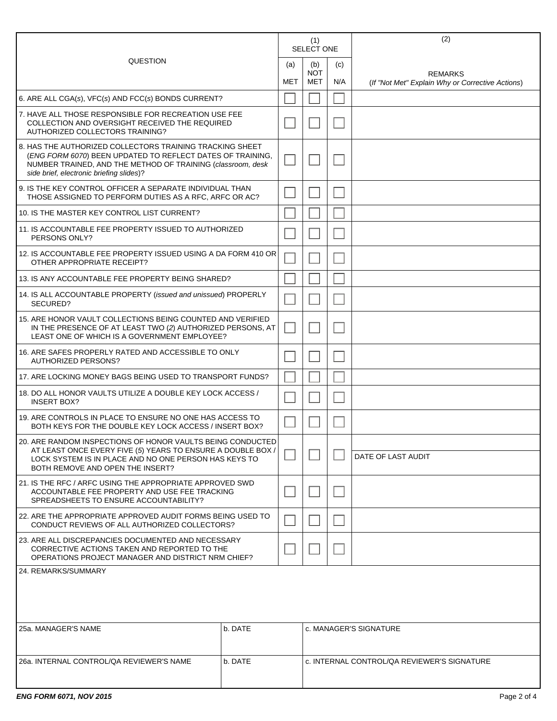| QUESTION                                                                                                                                                                                                                          |  | (1)<br><b>SELECT ONE</b> |                   |     | (2)                                                                |
|-----------------------------------------------------------------------------------------------------------------------------------------------------------------------------------------------------------------------------------|--|--------------------------|-------------------|-----|--------------------------------------------------------------------|
|                                                                                                                                                                                                                                   |  | (b)<br>(a)               |                   | (c) |                                                                    |
|                                                                                                                                                                                                                                   |  |                          | <b>NOT</b><br>MET | N/A | <b>REMARKS</b><br>(If "Not Met" Explain Why or Corrective Actions) |
| 6. ARE ALL CGA(s), VFC(s) AND FCC(s) BONDS CURRENT?                                                                                                                                                                               |  |                          |                   |     |                                                                    |
| 7. HAVE ALL THOSE RESPONSIBLE FOR RECREATION USE FEE<br>COLLECTION AND OVERSIGHT RECEIVED THE REQUIRED<br>AUTHORIZED COLLECTORS TRAINING?                                                                                         |  |                          |                   |     |                                                                    |
| 8. HAS THE AUTHORIZED COLLECTORS TRAINING TRACKING SHEET<br>(ENG FORM 6070) BEEN UPDATED TO REFLECT DATES OF TRAINING,<br>NUMBER TRAINED, AND THE METHOD OF TRAINING (classroom, desk<br>side brief, electronic briefing slides)? |  |                          |                   |     |                                                                    |
| 9. IS THE KEY CONTROL OFFICER A SEPARATE INDIVIDUAL THAN<br>THOSE ASSIGNED TO PERFORM DUTIES AS A RFC, ARFC OR AC?                                                                                                                |  |                          |                   |     |                                                                    |
| 10. IS THE MASTER KEY CONTROL LIST CURRENT?                                                                                                                                                                                       |  |                          |                   |     |                                                                    |
| 11. IS ACCOUNTABLE FEE PROPERTY ISSUED TO AUTHORIZED<br>PERSONS ONLY?                                                                                                                                                             |  |                          |                   |     |                                                                    |
| 12. IS ACCOUNTABLE FEE PROPERTY ISSUED USING A DA FORM 410 OR<br>OTHER APPROPRIATE RECEIPT?                                                                                                                                       |  |                          |                   |     |                                                                    |
| 13. IS ANY ACCOUNTABLE FEE PROPERTY BEING SHARED?                                                                                                                                                                                 |  |                          |                   |     |                                                                    |
| 14. IS ALL ACCOUNTABLE PROPERTY (issued and unissued) PROPERLY<br>SECURED?                                                                                                                                                        |  |                          |                   |     |                                                                    |
| 15. ARE HONOR VAULT COLLECTIONS BEING COUNTED AND VERIFIED<br>IN THE PRESENCE OF AT LEAST TWO (2) AUTHORIZED PERSONS, AT<br>LEAST ONE OF WHICH IS A GOVERNMENT EMPLOYEE?                                                          |  |                          |                   |     |                                                                    |
| 16. ARE SAFES PROPERLY RATED AND ACCESSIBLE TO ONLY<br><b>AUTHORIZED PERSONS?</b>                                                                                                                                                 |  |                          |                   |     |                                                                    |
| 17. ARE LOCKING MONEY BAGS BEING USED TO TRANSPORT FUNDS?                                                                                                                                                                         |  |                          |                   |     |                                                                    |
| 18. DO ALL HONOR VAULTS UTILIZE A DOUBLE KEY LOCK ACCESS /<br><b>INSERT BOX?</b>                                                                                                                                                  |  |                          |                   |     |                                                                    |
| 19. ARE CONTROLS IN PLACE TO ENSURE NO ONE HAS ACCESS TO<br>BOTH KEYS FOR THE DOUBLE KEY LOCK ACCESS / INSERT BOX?                                                                                                                |  |                          |                   |     |                                                                    |
| 20. ARE RANDOM INSPECTIONS OF HONOR VAULTS BEING CONDUCTED                                                                                                                                                                        |  |                          |                   |     |                                                                    |
| AT LEAST ONCE EVERY FIVE (5) YEARS TO ENSURE A DOUBLE BOX /<br>LOCK SYSTEM IS IN PLACE AND NO ONE PERSON HAS KEYS TO<br>BOTH REMOVE AND OPEN THE INSERT?                                                                          |  |                          |                   |     | DATE OF LAST AUDIT                                                 |
| 21. IS THE RFC / ARFC USING THE APPROPRIATE APPROVED SWD<br>ACCOUNTABLE FEE PROPERTY AND USE FEE TRACKING<br>SPREADSHEETS TO ENSURE ACCOUNTABILITY?                                                                               |  |                          |                   |     |                                                                    |
| 22. ARE THE APPROPRIATE APPROVED AUDIT FORMS BEING USED TO<br>CONDUCT REVIEWS OF ALL AUTHORIZED COLLECTORS?                                                                                                                       |  |                          |                   |     |                                                                    |
| 23. ARE ALL DISCREPANCIES DOCUMENTED AND NECESSARY<br>CORRECTIVE ACTIONS TAKEN AND REPORTED TO THE<br>OPERATIONS PROJECT MANAGER AND DISTRICT NRM CHIEF?                                                                          |  |                          |                   |     |                                                                    |
| 24. REMARKS/SUMMARY                                                                                                                                                                                                               |  |                          |                   |     |                                                                    |
| 25a, MANAGER'S NAME<br>b. DATE                                                                                                                                                                                                    |  |                          |                   |     | c. MANAGER'S SIGNATURE                                             |
| 26a. INTERNAL CONTROL/QA REVIEWER'S NAME<br>b. DATE                                                                                                                                                                               |  |                          |                   |     | c. INTERNAL CONTROL/QA REVIEWER'S SIGNATURE                        |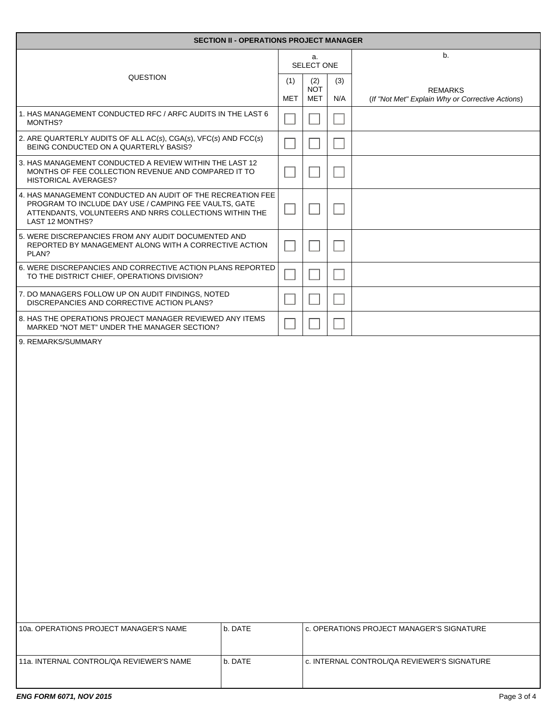| <b>SECTION II - OPERATIONS PROJECT MANAGER</b>                                                                                                                                                   |         |     |                   |     |                                                  |  |
|--------------------------------------------------------------------------------------------------------------------------------------------------------------------------------------------------|---------|-----|-------------------|-----|--------------------------------------------------|--|
| QUESTION                                                                                                                                                                                         |         |     | a.<br>SELECT ONE  |     | b.                                               |  |
|                                                                                                                                                                                                  |         | (1) | (2)<br><b>NOT</b> | (3) | <b>REMARKS</b>                                   |  |
| 1. HAS MANAGEMENT CONDUCTED RFC / ARFC AUDITS IN THE LAST 6                                                                                                                                      |         | MET | MET               | N/A | (If "Not Met" Explain Why or Corrective Actions) |  |
| MONTHS?<br>2. ARE QUARTERLY AUDITS OF ALL AC(s), CGA(s), VFC(s) AND FCC(s)                                                                                                                       |         |     |                   |     |                                                  |  |
| BEING CONDUCTED ON A QUARTERLY BASIS?                                                                                                                                                            |         |     |                   |     |                                                  |  |
| 3. HAS MANAGEMENT CONDUCTED A REVIEW WITHIN THE LAST 12<br>MONTHS OF FEE COLLECTION REVENUE AND COMPARED IT TO<br><b>HISTORICAL AVERAGES?</b>                                                    |         |     |                   |     |                                                  |  |
| 4. HAS MANAGEMENT CONDUCTED AN AUDIT OF THE RECREATION FEE<br>PROGRAM TO INCLUDE DAY USE / CAMPING FEE VAULTS, GATE<br>ATTENDANTS, VOLUNTEERS AND NRRS COLLECTIONS WITHIN THE<br>LAST 12 MONTHS? |         |     |                   |     |                                                  |  |
| 5. WERE DISCREPANCIES FROM ANY AUDIT DOCUMENTED AND<br>REPORTED BY MANAGEMENT ALONG WITH A CORRECTIVE ACTION<br>PLAN?                                                                            |         |     |                   |     |                                                  |  |
| 6. WERE DISCREPANCIES AND CORRECTIVE ACTION PLANS REPORTED<br>TO THE DISTRICT CHIEF, OPERATIONS DIVISION?                                                                                        |         |     |                   |     |                                                  |  |
| 7. DO MANAGERS FOLLOW UP ON AUDIT FINDINGS, NOTED<br>DISCREPANCIES AND CORRECTIVE ACTION PLANS?                                                                                                  |         |     |                   |     |                                                  |  |
| 8. HAS THE OPERATIONS PROJECT MANAGER REVIEWED ANY ITEMS<br>MARKED "NOT MET" UNDER THE MANAGER SECTION?                                                                                          |         |     |                   |     |                                                  |  |
|                                                                                                                                                                                                  |         |     |                   |     |                                                  |  |
| 10a. OPERATIONS PROJECT MANAGER'S NAME                                                                                                                                                           | b. DATE |     |                   |     | c. OPERATIONS PROJECT MANAGER'S SIGNATURE        |  |
| 11a. INTERNAL CONTROL/QA REVIEWER'S NAME                                                                                                                                                         | b. DATE |     |                   |     | c. INTERNAL CONTROL/QA REVIEWER'S SIGNATURE      |  |